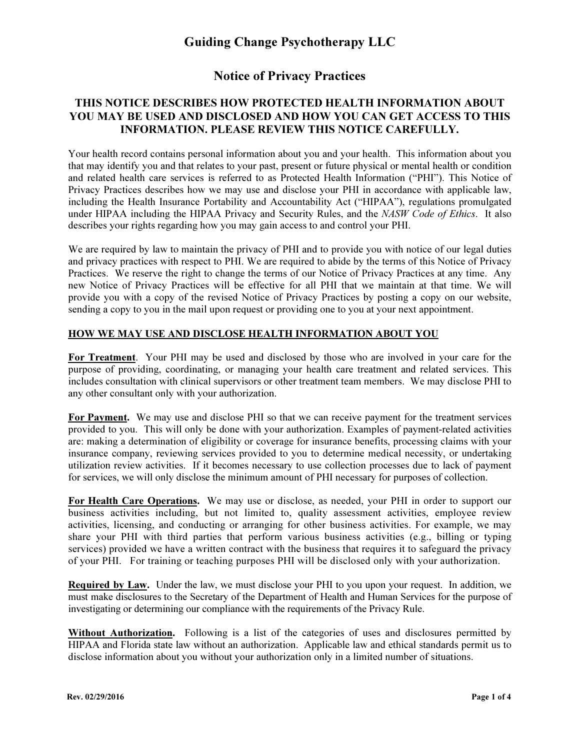### Notice of Privacy Practices

#### THIS NOTICE DESCRIBES HOW PROTECTED HEALTH INFORMATION ABOUT YOU MAY BE USED AND DISCLOSED AND HOW YOU CAN GET ACCESS TO THIS INFORMATION. PLEASE REVIEW THIS NOTICE CAREFULLY.

Your health record contains personal information about you and your health. This information about you that may identify you and that relates to your past, present or future physical or mental health or condition and related health care services is referred to as Protected Health Information ("PHI"). This Notice of Privacy Practices describes how we may use and disclose your PHI in accordance with applicable law, including the Health Insurance Portability and Accountability Act ("HIPAA"), regulations promulgated under HIPAA including the HIPAA Privacy and Security Rules, and the NASW Code of Ethics. It also describes your rights regarding how you may gain access to and control your PHI.

We are required by law to maintain the privacy of PHI and to provide you with notice of our legal duties and privacy practices with respect to PHI. We are required to abide by the terms of this Notice of Privacy Practices. We reserve the right to change the terms of our Notice of Privacy Practices at any time. Any new Notice of Privacy Practices will be effective for all PHI that we maintain at that time. We will provide you with a copy of the revised Notice of Privacy Practices by posting a copy on our website, sending a copy to you in the mail upon request or providing one to you at your next appointment.

#### HOW WE MAY USE AND DISCLOSE HEALTH INFORMATION ABOUT YOU

For Treatment. Your PHI may be used and disclosed by those who are involved in your care for the purpose of providing, coordinating, or managing your health care treatment and related services. This includes consultation with clinical supervisors or other treatment team members. We may disclose PHI to any other consultant only with your authorization.

For Payment. We may use and disclose PHI so that we can receive payment for the treatment services provided to you. This will only be done with your authorization. Examples of payment-related activities are: making a determination of eligibility or coverage for insurance benefits, processing claims with your insurance company, reviewing services provided to you to determine medical necessity, or undertaking utilization review activities. If it becomes necessary to use collection processes due to lack of payment for services, we will only disclose the minimum amount of PHI necessary for purposes of collection.

For Health Care Operations. We may use or disclose, as needed, your PHI in order to support our business activities including, but not limited to, quality assessment activities, employee review activities, licensing, and conducting or arranging for other business activities. For example, we may share your PHI with third parties that perform various business activities (e.g., billing or typing services) provided we have a written contract with the business that requires it to safeguard the privacy of your PHI. For training or teaching purposes PHI will be disclosed only with your authorization.

Required by Law. Under the law, we must disclose your PHI to you upon your request. In addition, we must make disclosures to the Secretary of the Department of Health and Human Services for the purpose of investigating or determining our compliance with the requirements of the Privacy Rule.

Without Authorization. Following is a list of the categories of uses and disclosures permitted by HIPAA and Florida state law without an authorization. Applicable law and ethical standards permit us to disclose information about you without your authorization only in a limited number of situations.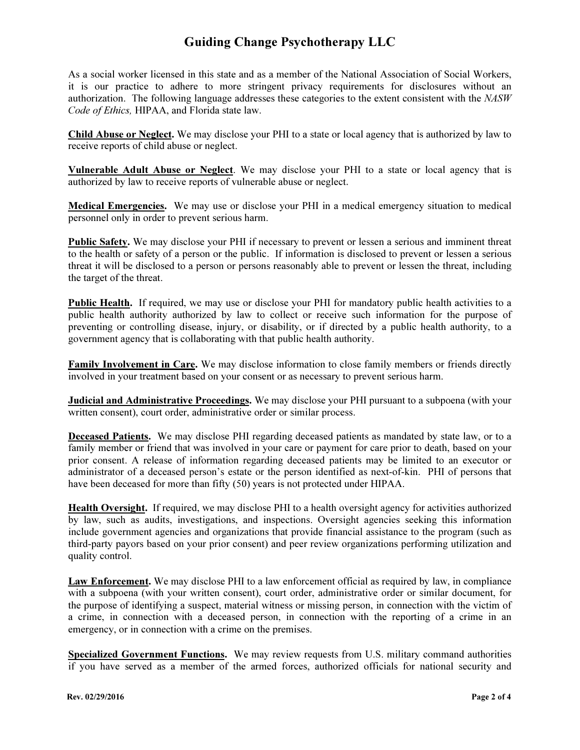As a social worker licensed in this state and as a member of the National Association of Social Workers, it is our practice to adhere to more stringent privacy requirements for disclosures without an authorization. The following language addresses these categories to the extent consistent with the NASW Code of Ethics, HIPAA, and Florida state law.

Child Abuse or Neglect. We may disclose your PHI to a state or local agency that is authorized by law to receive reports of child abuse or neglect.

Vulnerable Adult Abuse or Neglect. We may disclose your PHI to a state or local agency that is authorized by law to receive reports of vulnerable abuse or neglect.

Medical Emergencies. We may use or disclose your PHI in a medical emergency situation to medical personnel only in order to prevent serious harm.

Public Safety. We may disclose your PHI if necessary to prevent or lessen a serious and imminent threat to the health or safety of a person or the public. If information is disclosed to prevent or lessen a serious threat it will be disclosed to a person or persons reasonably able to prevent or lessen the threat, including the target of the threat.

Public Health. If required, we may use or disclose your PHI for mandatory public health activities to a public health authority authorized by law to collect or receive such information for the purpose of preventing or controlling disease, injury, or disability, or if directed by a public health authority, to a government agency that is collaborating with that public health authority.

Family Involvement in Care. We may disclose information to close family members or friends directly involved in your treatment based on your consent or as necessary to prevent serious harm.

Judicial and Administrative Proceedings. We may disclose your PHI pursuant to a subpoena (with your written consent), court order, administrative order or similar process.

Deceased Patients. We may disclose PHI regarding deceased patients as mandated by state law, or to a family member or friend that was involved in your care or payment for care prior to death, based on your prior consent. A release of information regarding deceased patients may be limited to an executor or administrator of a deceased person's estate or the person identified as next-of-kin. PHI of persons that have been deceased for more than fifty (50) years is not protected under HIPAA.

Health Oversight. If required, we may disclose PHI to a health oversight agency for activities authorized by law, such as audits, investigations, and inspections. Oversight agencies seeking this information include government agencies and organizations that provide financial assistance to the program (such as third-party payors based on your prior consent) and peer review organizations performing utilization and quality control.

Law Enforcement. We may disclose PHI to a law enforcement official as required by law, in compliance with a subpoena (with your written consent), court order, administrative order or similar document, for the purpose of identifying a suspect, material witness or missing person, in connection with the victim of a crime, in connection with a deceased person, in connection with the reporting of a crime in an emergency, or in connection with a crime on the premises.

Specialized Government Functions. We may review requests from U.S. military command authorities if you have served as a member of the armed forces, authorized officials for national security and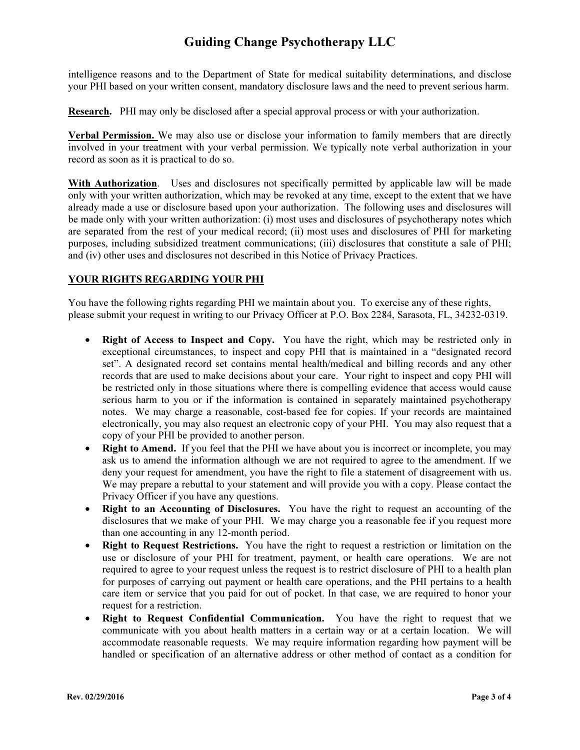intelligence reasons and to the Department of State for medical suitability determinations, and disclose your PHI based on your written consent, mandatory disclosure laws and the need to prevent serious harm.

Research. PHI may only be disclosed after a special approval process or with your authorization.

Verbal Permission. We may also use or disclose your information to family members that are directly involved in your treatment with your verbal permission. We typically note verbal authorization in your record as soon as it is practical to do so.

With Authorization. Uses and disclosures not specifically permitted by applicable law will be made only with your written authorization, which may be revoked at any time, except to the extent that we have already made a use or disclosure based upon your authorization. The following uses and disclosures will be made only with your written authorization: (i) most uses and disclosures of psychotherapy notes which are separated from the rest of your medical record; (ii) most uses and disclosures of PHI for marketing purposes, including subsidized treatment communications; (iii) disclosures that constitute a sale of PHI; and (iv) other uses and disclosures not described in this Notice of Privacy Practices.

### YOUR RIGHTS REGARDING YOUR PHI

You have the following rights regarding PHI we maintain about you. To exercise any of these rights, please submit your request in writing to our Privacy Officer at P.O. Box 2284, Sarasota, FL, 34232-0319.

- Right of Access to Inspect and Copy. You have the right, which may be restricted only in exceptional circumstances, to inspect and copy PHI that is maintained in a "designated record set". A designated record set contains mental health/medical and billing records and any other records that are used to make decisions about your care. Your right to inspect and copy PHI will be restricted only in those situations where there is compelling evidence that access would cause serious harm to you or if the information is contained in separately maintained psychotherapy notes. We may charge a reasonable, cost-based fee for copies. If your records are maintained electronically, you may also request an electronic copy of your PHI. You may also request that a copy of your PHI be provided to another person.
- **Right to Amend.** If you feel that the PHI we have about you is incorrect or incomplete, you may ask us to amend the information although we are not required to agree to the amendment. If we deny your request for amendment, you have the right to file a statement of disagreement with us. We may prepare a rebuttal to your statement and will provide you with a copy. Please contact the Privacy Officer if you have any questions.
- Right to an Accounting of Disclosures. You have the right to request an accounting of the disclosures that we make of your PHI. We may charge you a reasonable fee if you request more than one accounting in any 12-month period.
- Right to Request Restrictions. You have the right to request a restriction or limitation on the use or disclosure of your PHI for treatment, payment, or health care operations. We are not required to agree to your request unless the request is to restrict disclosure of PHI to a health plan for purposes of carrying out payment or health care operations, and the PHI pertains to a health care item or service that you paid for out of pocket. In that case, we are required to honor your request for a restriction.
- Right to Request Confidential Communication. You have the right to request that we communicate with you about health matters in a certain way or at a certain location. We will accommodate reasonable requests. We may require information regarding how payment will be handled or specification of an alternative address or other method of contact as a condition for